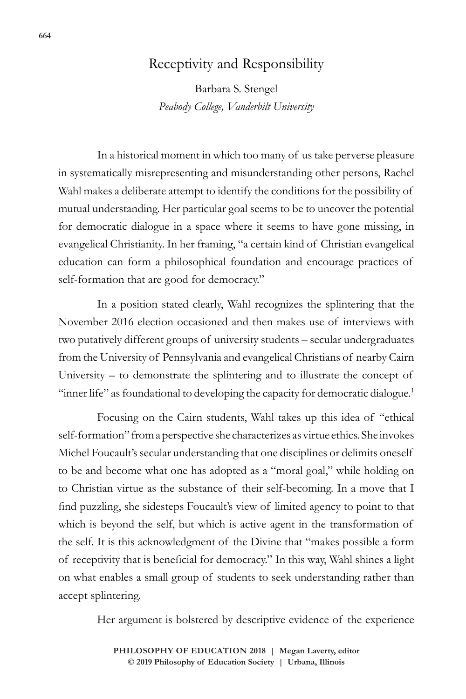## Receptivity and Responsibility

Barbara S. Stengel *Peabody College, Vanderbilt University*

In a historical moment in which too many of us take perverse pleasure in systematically misrepresenting and misunderstanding other persons, Rachel Wahl makes a deliberate attempt to identify the conditions for the possibility of mutual understanding. Her particular goal seems to be to uncover the potential for democratic dialogue in a space where it seems to have gone missing, in evangelical Christianity. In her framing, "a certain kind of Christian evangelical education can form a philosophical foundation and encourage practices of self-formation that are good for democracy."

In a position stated clearly, Wahl recognizes the splintering that the November 2016 election occasioned and then makes use of interviews with two putatively different groups of university students – secular undergraduates from the University of Pennsylvania and evangelical Christians of nearby Cairn University – to demonstrate the splintering and to illustrate the concept of "inner life" as foundational to developing the capacity for democratic dialogue.<sup>1</sup>

Focusing on the Cairn students, Wahl takes up this idea of "ethical self-formation" from a perspective she characterizes as virtue ethics. She invokes Michel Foucault's secular understanding that one disciplines or delimits oneself to be and become what one has adopted as a "moral goal," while holding on to Christian virtue as the substance of their self-becoming. In a move that I find puzzling, she sidesteps Foucault's view of limited agency to point to that which is beyond the self, but which is active agent in the transformation of the self. It is this acknowledgment of the Divine that "makes possible a form of receptivity that is beneficial for democracy." In this way, Wahl shines a light on what enables a small group of students to seek understanding rather than accept splintering.

Her argument is bolstered by descriptive evidence of the experience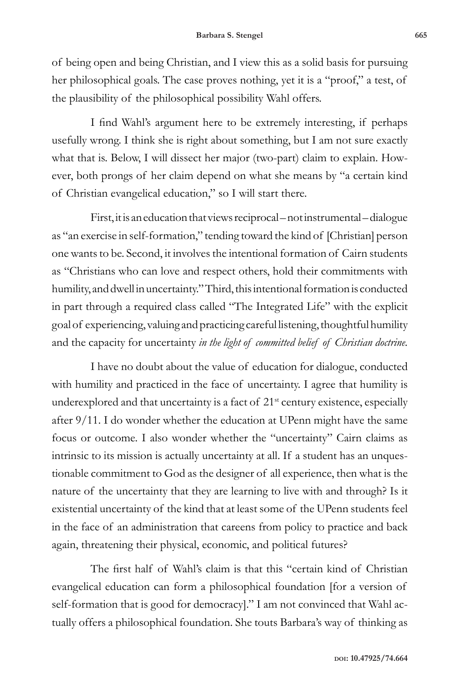of being open and being Christian, and I view this as a solid basis for pursuing her philosophical goals. The case proves nothing, yet it is a "proof," a test, of the plausibility of the philosophical possibility Wahl offers.

I find Wahl's argument here to be extremely interesting, if perhaps usefully wrong. I think she is right about something, but I am not sure exactly what that is. Below, I will dissect her major (two-part) claim to explain. However, both prongs of her claim depend on what she means by "a certain kind of Christian evangelical education," so I will start there.

First, it is an education that views reciprocal – not instrumental – dialogue as "an exercise in self-formation," tending toward the kind of [Christian] person one wants to be. Second, it involves the intentional formation of Cairn students as "Christians who can love and respect others, hold their commitments with humility, and dwell in uncertainty." Third, this intentional formation is conducted in part through a required class called "The Integrated Life" with the explicit goal of experiencing, valuing and practicing careful listening, thoughtful humility and the capacity for uncertainty *in the light of committed belief of Christian doctrine.*

I have no doubt about the value of education for dialogue, conducted with humility and practiced in the face of uncertainty. I agree that humility is underexplored and that uncertainty is a fact of  $21<sup>st</sup>$  century existence, especially after 9/11. I do wonder whether the education at UPenn might have the same focus or outcome. I also wonder whether the "uncertainty" Cairn claims as intrinsic to its mission is actually uncertainty at all. If a student has an unquestionable commitment to God as the designer of all experience, then what is the nature of the uncertainty that they are learning to live with and through? Is it existential uncertainty of the kind that at least some of the UPenn students feel in the face of an administration that careens from policy to practice and back again, threatening their physical, economic, and political futures?

The first half of Wahl's claim is that this "certain kind of Christian evangelical education can form a philosophical foundation [for a version of self-formation that is good for democracy]." I am not convinced that Wahl actually offers a philosophical foundation. She touts Barbara's way of thinking as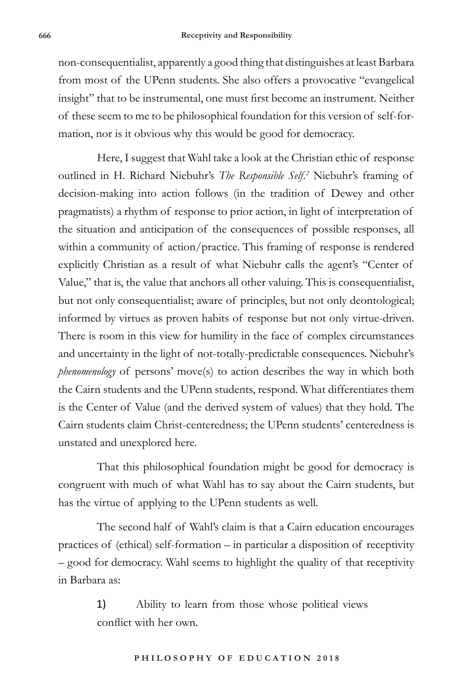non-consequentialist, apparently a good thing that distinguishes at least Barbara from most of the UPenn students. She also offers a provocative "evangelical insight" that to be instrumental, one must first become an instrument. Neither of these seem to me to be philosophical foundation for this version of self-formation, nor is it obvious why this would be good for democracy.

Here, I suggest that Wahl take a look at the Christian ethic of response outlined in H. Richard Niebuhr's *The Responsible Self.2* Niebuhr's framing of decision-making into action follows (in the tradition of Dewey and other pragmatists) a rhythm of response to prior action, in light of interpretation of the situation and anticipation of the consequences of possible responses, all within a community of action/practice. This framing of response is rendered explicitly Christian as a result of what Niebuhr calls the agent's "Center of Value," that is, the value that anchors all other valuing. This is consequentialist, but not only consequentialist; aware of principles, but not only deontological; informed by virtues as proven habits of response but not only virtue-driven. There is room in this view for humility in the face of complex circumstances and uncertainty in the light of not-totally-predictable consequences. Niebuhr's *phenomenology* of persons' move(s) to action describes the way in which both the Cairn students and the UPenn students, respond. What differentiates them is the Center of Value (and the derived system of values) that they hold. The Cairn students claim Christ-centeredness; the UPenn students' centeredness is unstated and unexplored here.

That this philosophical foundation might be good for democracy is congruent with much of what Wahl has to say about the Cairn students, but has the virtue of applying to the UPenn students as well.

The second half of Wahl's claim is that a Cairn education encourages practices of (ethical) self-formation – in particular a disposition of receptivity – good for democracy. Wahl seems to highlight the quality of that receptivity in Barbara as:

> 1) Ability to learn from those whose political views conflict with her own.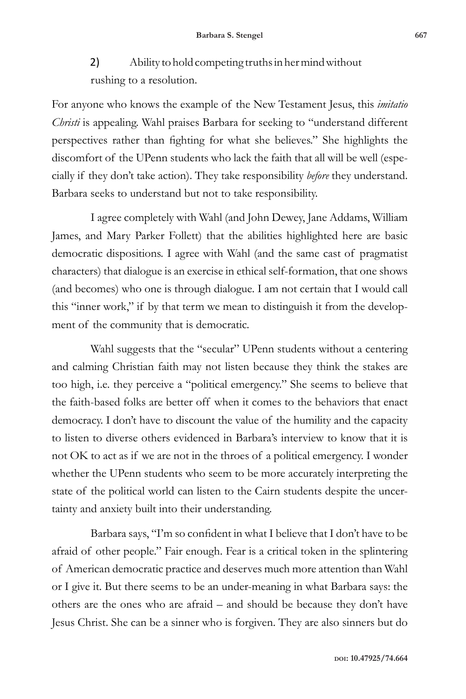2) Ability to hold competing truths in her mind without rushing to a resolution.

For anyone who knows the example of the New Testament Jesus, this *imitatio Christi* is appealing. Wahl praises Barbara for seeking to "understand different perspectives rather than fighting for what she believes." She highlights the discomfort of the UPenn students who lack the faith that all will be well (especially if they don't take action). They take responsibility *before* they understand. Barbara seeks to understand but not to take responsibility.

I agree completely with Wahl (and John Dewey, Jane Addams, William James, and Mary Parker Follett) that the abilities highlighted here are basic democratic dispositions. I agree with Wahl (and the same cast of pragmatist characters) that dialogue is an exercise in ethical self-formation, that one shows (and becomes) who one is through dialogue. I am not certain that I would call this "inner work," if by that term we mean to distinguish it from the development of the community that is democratic.

Wahl suggests that the "secular" UPenn students without a centering and calming Christian faith may not listen because they think the stakes are too high, i.e. they perceive a "political emergency." She seems to believe that the faith-based folks are better off when it comes to the behaviors that enact democracy. I don't have to discount the value of the humility and the capacity to listen to diverse others evidenced in Barbara's interview to know that it is not OK to act as if we are not in the throes of a political emergency. I wonder whether the UPenn students who seem to be more accurately interpreting the state of the political world can listen to the Cairn students despite the uncertainty and anxiety built into their understanding.

Barbara says, "I'm so confident in what I believe that I don't have to be afraid of other people." Fair enough. Fear is a critical token in the splintering of American democratic practice and deserves much more attention than Wahl or I give it. But there seems to be an under-meaning in what Barbara says: the others are the ones who are afraid – and should be because they don't have Jesus Christ. She can be a sinner who is forgiven. They are also sinners but do